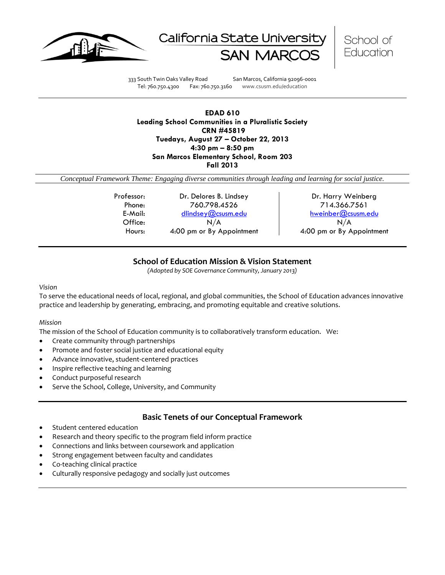





333 South Twin Oaks Valley Road San Marcos, California 92096-0001 Tel: 760.750.4300 Fax: 760.750.3160 www.csusm.edu/education

**EDAD 610 Leading School Communities in a Pluralistic Society CRN #45819 Tuedays, August 27 – October 22, 2013 4:30 pm – 8:50 pm San Marcos Elementary School, Room 203 Fall 2013** 

*Conceptual Framework Theme: Engaging diverse communities through leading and learning for social justice.*

Professor: Dr. Delores B. Lindsey | Dr. Harry Weinberg Phone: 760.798.4526 714.366.7561 E-Mail: [dlindsey@csusm.edu](mailto:dlindsey@csusm.edu) [hweinber@csusm.edu](mailto:hweinber@csusm.edu) Office:  $N/A$  N/A N/A Hours: 4:00 pm or By Appointment 4:00 pm or By Appointment

# **School of Education Mission & Vision Statement**

*(Adopted by SOE Governance Community, January 2013)*

#### *Vision*

To serve the educational needs of local, regional, and global communities, the School of Education advances innovative practice and leadership by generating, embracing, and promoting equitable and creative solutions.

#### *Mission*

The mission of the School of Education community is to collaboratively transform education. We:

- Create community through partnerships
- Promote and foster social justice and educational equity
- Advance innovative, student-centered practices
- Inspire reflective teaching and learning
- Conduct purposeful research
- Serve the School, College, University, and Community

# **Basic Tenets of our Conceptual Framework**

- Student centered education
- Research and theory specific to the program field inform practice
- Connections and links between coursework and application
- Strong engagement between faculty and candidates
- Co-teaching clinical practice
- Culturally responsive pedagogy and socially just outcomes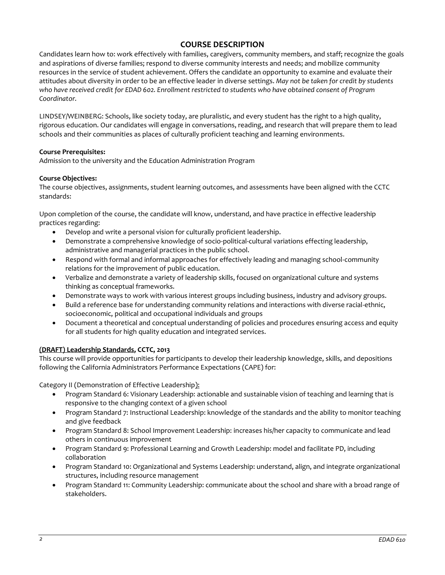# **COURSE DESCRIPTION**

Candidates learn how to: work effectively with families, caregivers, community members, and staff; recognize the goals and aspirations of diverse families; respond to diverse community interests and needs; and mobilize community resources in the service of student achievement. Offers the candidate an opportunity to examine and evaluate their attitudes about diversity in order to be an effective leader in diverse settings. *May not be taken for credit by students who have received credit for EDAD 602. Enrollment restricted to students who have obtained consent of Program Coordinator.*

LINDSEY/WEINBERG: Schools, like society today, are pluralistic, and every student has the right to a high quality, rigorous education. Our candidates will engage in conversations, reading, and research that will prepare them to lead schools and their communities as places of culturally proficient teaching and learning environments.

## **Course Prerequisites:**

Admission to the university and the Education Administration Program

## **Course Objectives:**

The course objectives, assignments, student learning outcomes, and assessments have been aligned with the CCTC standards:

Upon completion of the course, the candidate will know, understand, and have practice in effective leadership practices regarding:

- Develop and write a personal vision for culturally proficient leadership.
- Demonstrate a comprehensive knowledge of socio-political-cultural variations effecting leadership, administrative and managerial practices in the public school.
- Respond with formal and informal approaches for effectively leading and managing school-community relations for the improvement of public education.
- Verbalize and demonstrate a variety of leadership skills, focused on organizational culture and systems thinking as conceptual frameworks.
- Demonstrate ways to work with various interest groups including business, industry and advisory groups.
- Build a reference base for understanding community relations and interactions with diverse racial-ethnic, socioeconomic, political and occupational individuals and groups
- Document a theoretical and conceptual understanding of policies and procedures ensuring access and equity for all students for high quality education and integrated services.

# **(DRAFT) Leadership Standards, CCTC, 2013**

This course will provide opportunities for participants to develop their leadership knowledge, skills, and depositions following the California Administrators Performance Expectations (CAPE) for:

Category II (Demonstration of Effective Leadership):

- Program Standard 6: Visionary Leadership: actionable and sustainable vision of teaching and learning that is responsive to the changing context of a given school
- Program Standard 7: Instructional Leadership: knowledge of the standards and the ability to monitor teaching and give feedback
- Program Standard 8: School Improvement Leadership: increases his/her capacity to communicate and lead others in continuous improvement
- Program Standard 9: Professional Learning and Growth Leadership: model and facilitate PD, including collaboration
- Program Standard 10: Organizational and Systems Leadership: understand, align, and integrate organizational structures, including resource management
- Program Standard 11: Community Leadership: communicate about the school and share with a broad range of stakeholders.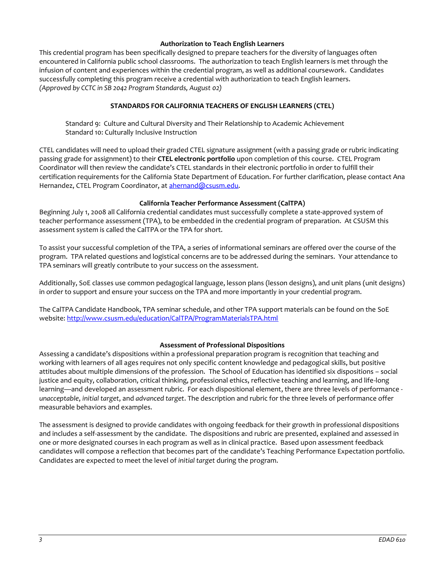#### **Authorization to Teach English Learners**

This credential program has been specifically designed to prepare teachers for the diversity of languages often encountered in California public school classrooms. The authorization to teach English learners is met through the infusion of content and experiences within the credential program, as well as additional coursework. Candidates successfully completing this program receive a credential with authorization to teach English learners. *(Approved by CCTC in SB 2042 Program Standards, August 02)*

# **STANDARDS FOR CALIFORNIA TEACHERS OF ENGLISH LEARNERS (CTEL)**

Standard 9: Culture and Cultural Diversity and Their Relationship to Academic Achievement Standard 10: Culturally Inclusive Instruction

CTEL candidates will need to upload their graded CTEL signature assignment (with a passing grade or rubric indicating passing grade for assignment) to their **CTEL electronic portfolio** upon completion of this course. CTEL Program Coordinator will then review the candidate's CTEL standards in their electronic portfolio in order to fulfill their certification requirements for the California State Department of Education. For further clarification, please contact Ana Hernandez, CTEL Program Coordinator, at [ahernand@csusm.edu.](https://bl2prd0511.outlook.com/owa/redir.aspx?C=AW7hZ-DBL0G6FPgB8G8Eri3bAwuccNAIwYI81VgsrzvmHC5AEo6nGJNyvZWC7aqWfxtUgiTx_9k.&URL=mailto%3aahernand%40csusm.edu)

#### **California Teacher Performance Assessment (CalTPA)**

Beginning July 1, 2008 all California credential candidates must successfully complete a state-approved system of teacher performance assessment (TPA), to be embedded in the credential program of preparation. At CSUSM this assessment system is called the CalTPA or the TPA for short.

To assist your successful completion of the TPA, a series of informational seminars are offered over the course of the program. TPA related questions and logistical concerns are to be addressed during the seminars. Your attendance to TPA seminars will greatly contribute to your success on the assessment.

Additionally, SoE classes use common pedagogical language, lesson plans (lesson designs), and unit plans (unit designs) in order to support and ensure your success on the TPA and more importantly in your credential program.

The CalTPA Candidate Handbook, TPA seminar schedule, and other TPA support materials can be found on the SoE website: <http://www.csusm.edu/education/CalTPA/ProgramMaterialsTPA.html>

# **Assessment of Professional Dispositions**

Assessing a candidate's dispositions within a professional preparation program is recognition that teaching and working with learners of all ages requires not only specific content knowledge and pedagogical skills, but positive attitudes about multiple dimensions of the profession. The School of Education has identified six dispositions – social justice and equity, collaboration, critical thinking, professional ethics, reflective teaching and learning, and life-long learning—and developed an assessment rubric. For each dispositional element, there are three levels of performance *unacceptable*, *initial target*, and *advanced target*. The description and rubric for the three levels of performance offer measurable behaviors and examples.

The assessment is designed to provide candidates with ongoing feedback for their growth in professional dispositions and includes a self-assessment by the candidate. The dispositions and rubric are presented, explained and assessed in one or more designated courses in each program as well as in clinical practice. Based upon assessment feedback candidates will compose a reflection that becomes part of the candidate's Teaching Performance Expectation portfolio. Candidates are expected to meet the level of *initial target* during the program.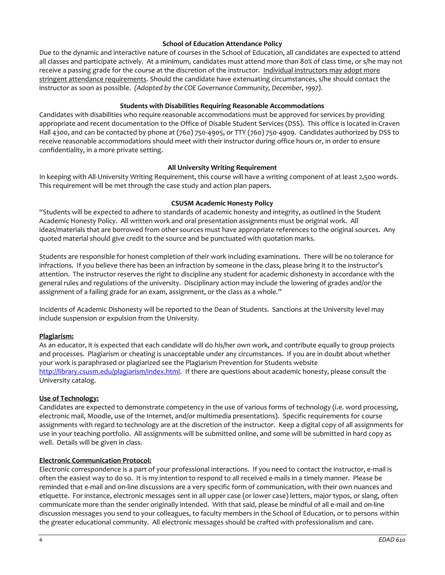#### **School of Education Attendance Policy**

Due to the dynamic and interactive nature of courses in the School of Education, all candidates are expected to attend all classes and participate actively. At a minimum, candidates must attend more than 80% of class time, or s/he may not receive a passing grade for the course at the discretion of the instructor. Individual instructors may adopt more stringent attendance requirements. Should the candidate have extenuating circumstances, s/he should contact the instructor as soon as possible. *(Adopted by the COE Governance Community, December, 1997).*

#### **Students with Disabilities Requiring Reasonable Accommodations**

Candidates with disabilities who require reasonable accommodations must be approved for services by providing appropriate and recent documentation to the Office of Disable Student Services (DSS). This office is located in Craven Hall 4300, and can be contacted by phone at (760) 750-4905, or TTY (760) 750-4909. Candidates authorized by DSS to receive reasonable accommodations should meet with their instructor during office hours or, in order to ensure confidentiality, in a more private setting.

## **All University Writing Requirement**

In keeping with All-University Writing Requirement, this course will have a writing component of at least 2,500 words. This requirement will be met through the case study and action plan papers.

#### **CSUSM Academic Honesty Policy**

"Students will be expected to adhere to standards of academic honesty and integrity, as outlined in the Student Academic Honesty Policy. All written work and oral presentation assignments must be original work. All ideas/materials that are borrowed from other sources must have appropriate references to the original sources. Any quoted material should give credit to the source and be punctuated with quotation marks.

Students are responsible for honest completion of their work including examinations. There will be no tolerance for infractions. If you believe there has been an infraction by someone in the class, please bring it to the instructor's attention. The instructor reserves the right to discipline any student for academic dishonesty in accordance with the general rules and regulations of the university. Disciplinary action may include the lowering of grades and/or the assignment of a failing grade for an exam, assignment, or the class as a whole."

Incidents of Academic Dishonesty will be reported to the Dean of Students. Sanctions at the University level may include suspension or expulsion from the University.

#### **Plagiarism:**

As an educator, it is expected that each candidate will do his/her own work, and contribute equally to group projects and processes. Plagiarism or cheating is unacceptable under any circumstances. If you are in doubt about whether your work is paraphrased or plagiarized see the Plagiarism Prevention for Students website [http://library.csusm.edu/plagiarism/index.html.](http://library.csusm.edu/plagiarism/index.html) If there are questions about academic honesty, please consult the University catalog.

#### **Use of Technology:**

Candidates are expected to demonstrate competency in the use of various forms of technology (i.e. word processing, electronic mail, Moodle, use of the Internet, and/or multimedia presentations). Specific requirements for course assignments with regard to technology are at the discretion of the instructor. Keep a digital copy of all assignments for use in your teaching portfolio. All assignments will be submitted online, and some will be submitted in hard copy as well. Details will be given in class.

#### **Electronic Communication Protocol:**

Electronic correspondence is a part of your professional interactions. If you need to contact the instructor, e-mail is often the easiest way to do so. It is my intention to respond to all received e-mails in a timely manner. Please be reminded that e-mail and on-line discussions are a very specific form of communication, with their own nuances and etiquette. For instance, electronic messages sent in all upper case (or lower case) letters, major typos, or slang, often communicate more than the sender originally intended. With that said, please be mindful of all e-mail and on-line discussion messages you send to your colleagues, to faculty members in the School of Education, or to persons within the greater educational community. All electronic messages should be crafted with professionalism and care.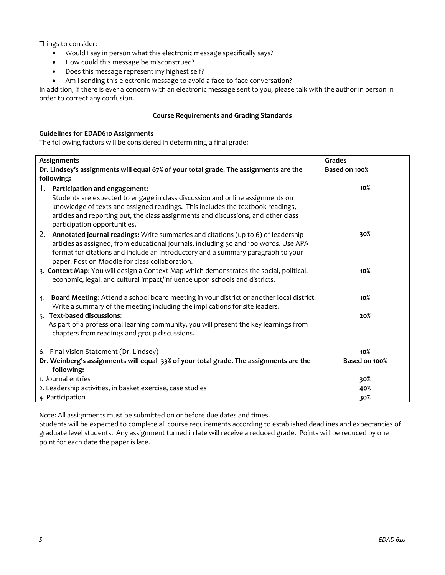Things to consider:

- Would I say in person what this electronic message specifically says?
- How could this message be misconstrued?
- Does this message represent my highest self?
- Am I sending this electronic message to avoid a face-to-face conversation?

In addition, if there is ever a concern with an electronic message sent to you, please talk with the author in person in order to correct any confusion.

## **Course Requirements and Grading Standards**

## **Guidelines for EDAD610 Assignments**

The following factors will be considered in determining a final grade:

| Assignments                                                                                    | Grades          |
|------------------------------------------------------------------------------------------------|-----------------|
| Dr. Lindsey's assignments will equal 67% of your total grade. The assignments are the          | Based on 100%   |
| following:                                                                                     |                 |
| 1.<br>Participation and engagement:                                                            | 10%             |
| Students are expected to engage in class discussion and online assignments on                  |                 |
| knowledge of texts and assigned readings. This includes the textbook readings,                 |                 |
| articles and reporting out, the class assignments and discussions, and other class             |                 |
| participation opportunities.                                                                   |                 |
| 2.<br>Annotated journal readings: Write summaries and citations (up to 6) of leadership        | 30%             |
| articles as assigned, from educational journals, including 50 and 100 words. Use APA           |                 |
| format for citations and include an introductory and a summary paragraph to your               |                 |
| paper. Post on Moodle for class collaboration.                                                 |                 |
| 3. Context Map: You will design a Context Map which demonstrates the social, political,        | 10 <sub>0</sub> |
| economic, legal, and cultural impact/influence upon schools and districts.                     |                 |
|                                                                                                |                 |
| Board Meeting: Attend a school board meeting in your district or another local district.<br>4. | 10 <sup>o</sup> |
| Write a summary of the meeting including the implications for site leaders.                    |                 |
| 5. Text-based discussions:                                                                     | 20%             |
| As part of a professional learning community, you will present the key learnings from          |                 |
| chapters from readings and group discussions.                                                  |                 |
|                                                                                                |                 |
| 6. Final Vision Statement (Dr. Lindsey)                                                        | 10%             |
| Dr. Weinberg's assignments will equal 33% of your total grade. The assignments are the         | Based on 100%   |
| following:                                                                                     |                 |
| 1. Journal entries                                                                             | 30%             |
| 2. Leadership activities, in basket exercise, case studies                                     | 40%             |
| 4. Participation                                                                               | 30%             |

Note: All assignments must be submitted on or before due dates and times.

Students will be expected to complete all course requirements according to established deadlines and expectancies of graduate level students. Any assignment turned in late will receive a reduced grade. Points will be reduced by one point for each date the paper is late.